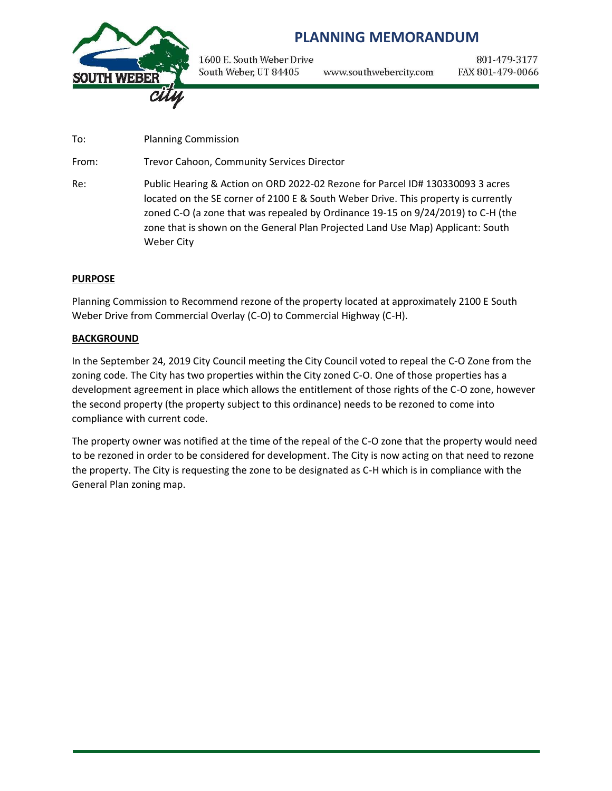

## **PLANNING MEMORANDUM**

1600 E. South Weber Drive South Weber, UT 84405 www.southwebercity.com

801-479-3177 FAX 801-479-0066

To: Planning Commission

From: Trevor Cahoon, Community Services Director

Re: Public Hearing & Action on ORD 2022-02 Rezone for Parcel ID# 130330093 3 acres located on the SE corner of 2100 E & South Weber Drive. This property is currently zoned C-O (a zone that was repealed by Ordinance 19-15 on 9/24/2019) to C-H (the zone that is shown on the General Plan Projected Land Use Map) Applicant: South Weber City

## **PURPOSE**

Planning Commission to Recommend rezone of the property located at approximately 2100 E South Weber Drive from Commercial Overlay (C-O) to Commercial Highway (C-H).

## **BACKGROUND**

In the September 24, 2019 City Council meeting the City Council voted to repeal the C-O Zone from the zoning code. The City has two properties within the City zoned C-O. One of those properties has a development agreement in place which allows the entitlement of those rights of the C-O zone, however the second property (the property subject to this ordinance) needs to be rezoned to come into compliance with current code.

The property owner was notified at the time of the repeal of the C-O zone that the property would need to be rezoned in order to be considered for development. The City is now acting on that need to rezone the property. The City is requesting the zone to be designated as C-H which is in compliance with the General Plan zoning map.